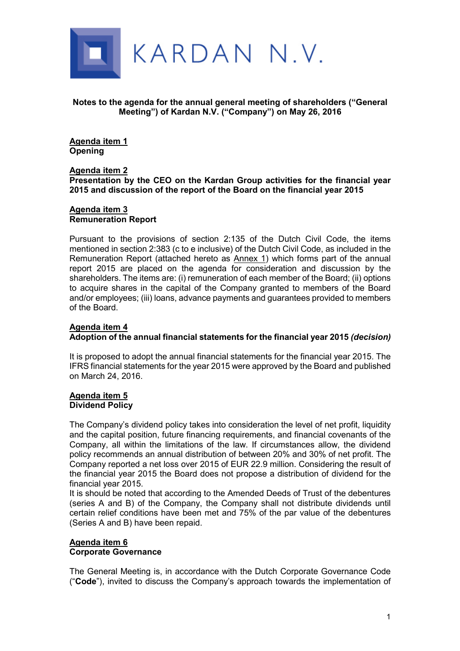

**Notes to the agenda for the annual general meeting of shareholders ("General Meeting") of Kardan N.V. ("Company") on May 26, 2016** 

**Agenda item 1 Opening** 

#### **Agenda item 2 Presentation by the CEO on the Kardan Group activities for the financial year 2015 and discussion of the report of the Board on the financial year 2015**

#### **Agenda item 3 Remuneration Report**

Pursuant to the provisions of section 2:135 of the Dutch Civil Code, the items mentioned in section 2:383 (c to e inclusive) of the Dutch Civil Code, as included in the Remuneration Report (attached hereto as Annex 1) which forms part of the annual report 2015 are placed on the agenda for consideration and discussion by the shareholders. The items are: (i) remuneration of each member of the Board; (ii) options to acquire shares in the capital of the Company granted to members of the Board and/or employees; (iii) loans, advance payments and guarantees provided to members of the Board.

#### **Agenda item 4 Adoption of the annual financial statements for the financial year 2015** *(decision)*

It is proposed to adopt the annual financial statements for the financial year 2015. The IFRS financial statements for the year 2015 were approved by the Board and published on March 24, 2016.

# **Agenda item 5**

**Dividend Policy** 

The Company's dividend policy takes into consideration the level of net profit, liquidity and the capital position, future financing requirements, and financial covenants of the Company, all within the limitations of the law. If circumstances allow, the dividend policy recommends an annual distribution of between 20% and 30% of net profit. The Company reported a net loss over 2015 of EUR 22.9 million. Considering the result of the financial year 2015 the Board does not propose a distribution of dividend for the financial year 2015.

It is should be noted that according to the Amended Deeds of Trust of the debentures (series A and B) of the Company, the Company shall not distribute dividends until certain relief conditions have been met and 75% of the par value of the debentures (Series A and B) have been repaid.

### **Agenda item 6 Corporate Governance**

The General Meeting is, in accordance with the Dutch Corporate Governance Code ("**Code**"), invited to discuss the Company's approach towards the implementation of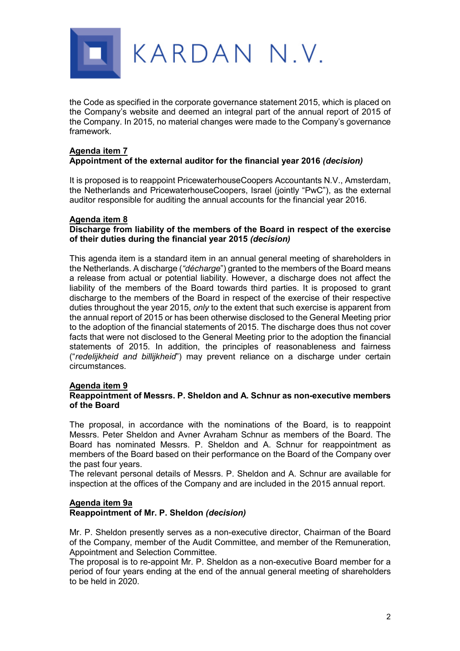

the Code as specified in the corporate governance statement 2015, which is placed on the Company's website and deemed an integral part of the annual report of 2015 of the Company. In 2015, no material changes were made to the Company's governance framework.

#### **Agenda item 7 Appointment of the external auditor for the financial year 2016** *(decision)*

It is proposed is to reappoint PricewaterhouseCoopers Accountants N.V., Amsterdam, the Netherlands and PricewaterhouseCoopers, Israel (jointly "PwC"), as the external auditor responsible for auditing the annual accounts for the financial year 2016.

### **Agenda item 8**

#### **Discharge from liability of the members of the Board in respect of the exercise of their duties during the financial year 2015** *(decision)*

This agenda item is a standard item in an annual general meeting of shareholders in the Netherlands. A discharge (*"décharge*") granted to the members of the Board means a release from actual or potential liability. However, a discharge does not affect the liability of the members of the Board towards third parties. It is proposed to grant discharge to the members of the Board in respect of the exercise of their respective duties throughout the year 2015, *only* to the extent that such exercise is apparent from the annual report of 2015 or has been otherwise disclosed to the General Meeting prior to the adoption of the financial statements of 2015. The discharge does thus not cover facts that were not disclosed to the General Meeting prior to the adoption the financial statements of 2015. In addition, the principles of reasonableness and fairness ("*redelijkheid and billijkheid*") may prevent reliance on a discharge under certain circumstances.

#### **Agenda item 9**

#### **Reappointment of Messrs. P. Sheldon and A. Schnur as non-executive members of the Board**

The proposal, in accordance with the nominations of the Board, is to reappoint Messrs. Peter Sheldon and Avner Avraham Schnur as members of the Board. The Board has nominated Messrs. P. Sheldon and A. Schnur for reappointment as members of the Board based on their performance on the Board of the Company over the past four years.

The relevant personal details of Messrs. P. Sheldon and A. Schnur are available for inspection at the offices of the Company and are included in the 2015 annual report.

# **Agenda item 9a**

## **Reappointment of Mr. P. Sheldon** *(decision)*

Mr. P. Sheldon presently serves as a non-executive director, Chairman of the Board of the Company, member of the Audit Committee, and member of the Remuneration, Appointment and Selection Committee.

The proposal is to re-appoint Mr. P. Sheldon as a non-executive Board member for a period of four years ending at the end of the annual general meeting of shareholders to be held in 2020.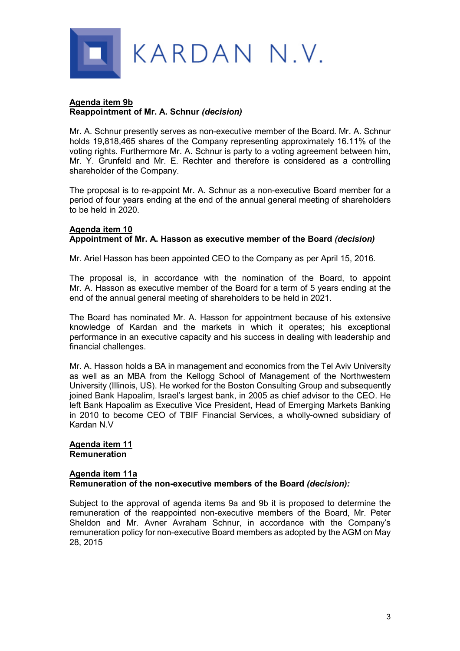

#### **Agenda item 9b Reappointment of Mr. A. Schnur** *(decision)*

Mr. A. Schnur presently serves as non-executive member of the Board. Mr. A. Schnur holds 19,818,465 shares of the Company representing approximately 16.11% of the voting rights. Furthermore Mr. A. Schnur is party to a voting agreement between him, Mr. Y. Grunfeld and Mr. E. Rechter and therefore is considered as a controlling shareholder of the Company.

The proposal is to re-appoint Mr. A. Schnur as a non-executive Board member for a period of four years ending at the end of the annual general meeting of shareholders to be held in 2020.

#### **Agenda item 10 Appointment of Mr. A. Hasson as executive member of the Board** *(decision)*

Mr. Ariel Hasson has been appointed CEO to the Company as per April 15, 2016.

The proposal is, in accordance with the nomination of the Board, to appoint Mr. A. Hasson as executive member of the Board for a term of 5 years ending at the end of the annual general meeting of shareholders to be held in 2021.

The Board has nominated Mr. A. Hasson for appointment because of his extensive knowledge of Kardan and the markets in which it operates; his exceptional performance in an executive capacity and his success in dealing with leadership and financial challenges.

Mr. A. Hasson holds a BA in management and economics from the Tel Aviv University as well as an MBA from the Kellogg School of Management of the Northwestern University (Illinois, US). He worked for the Boston Consulting Group and subsequently joined Bank Hapoalim, Israel's largest bank, in 2005 as chief advisor to the CEO. He left Bank Hapoalim as Executive Vice President, Head of Emerging Markets Banking in 2010 to become CEO of TBIF Financial Services, a wholly-owned subsidiary of Kardan N.V

#### **Agenda item 11 Remuneration**

#### **Agenda item 11a Remuneration of the non-executive members of the Board** *(decision):*

Subject to the approval of agenda items 9a and 9b it is proposed to determine the remuneration of the reappointed non-executive members of the Board, Mr. Peter Sheldon and Mr. Avner Avraham Schnur, in accordance with the Company's remuneration policy for non-executive Board members as adopted by the AGM on May 28, 2015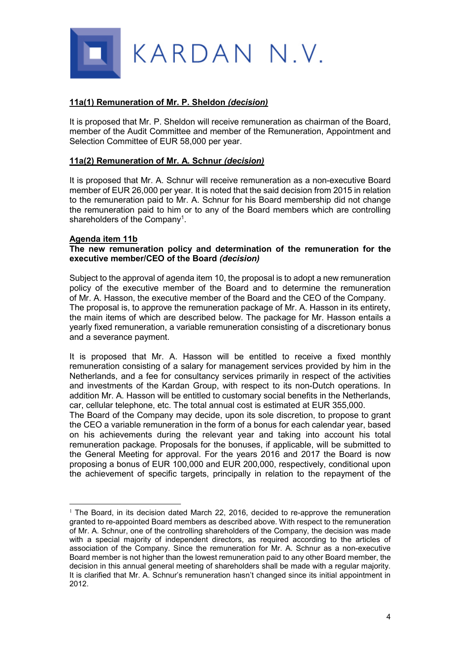

#### **11a(1) Remuneration of Mr. P. Sheldon** *(decision)*

It is proposed that Mr. P. Sheldon will receive remuneration as chairman of the Board, member of the Audit Committee and member of the Remuneration, Appointment and Selection Committee of EUR 58,000 per year.

#### **11a(2) Remuneration of Mr. A. Schnur** *(decision)*

It is proposed that Mr. A. Schnur will receive remuneration as a non-executive Board member of EUR 26,000 per year. It is noted that the said decision from 2015 in relation to the remuneration paid to Mr. A. Schnur for his Board membership did not change the remuneration paid to him or to any of the Board members which are controlling shareholders of the Company<sup>1</sup>.

#### **Agenda item 11b**

 $\overline{a}$ 

#### **The new remuneration policy and determination of the remuneration for the executive member/CEO of the Board** *(decision)*

Subject to the approval of agenda item 10, the proposal is to adopt a new remuneration policy of the executive member of the Board and to determine the remuneration of Mr. A. Hasson, the executive member of the Board and the CEO of the Company. The proposal is, to approve the remuneration package of Mr. A. Hasson in its entirety, the main items of which are described below. The package for Mr. Hasson entails a yearly fixed remuneration, a variable remuneration consisting of a discretionary bonus and a severance payment.

It is proposed that Mr. A. Hasson will be entitled to receive a fixed monthly remuneration consisting of a salary for management services provided by him in the Netherlands, and a fee for consultancy services primarily in respect of the activities and investments of the Kardan Group, with respect to its non-Dutch operations. In addition Mr. A. Hasson will be entitled to customary social benefits in the Netherlands, car, cellular telephone, etc. The total annual cost is estimated at EUR 355,000.

The Board of the Company may decide, upon its sole discretion, to propose to grant the CEO a variable remuneration in the form of a bonus for each calendar year, based on his achievements during the relevant year and taking into account his total remuneration package. Proposals for the bonuses, if applicable, will be submitted to the General Meeting for approval. For the years 2016 and 2017 the Board is now proposing a bonus of EUR 100,000 and EUR 200,000, respectively, conditional upon the achievement of specific targets, principally in relation to the repayment of the

 $1$  The Board, in its decision dated March 22, 2016, decided to re-approve the remuneration granted to re-appointed Board members as described above. With respect to the remuneration of Mr. A. Schnur, one of the controlling shareholders of the Company, the decision was made with a special majority of independent directors, as required according to the articles of association of the Company. Since the remuneration for Mr. A. Schnur as a non-executive Board member is not higher than the lowest remuneration paid to any other Board member, the decision in this annual general meeting of shareholders shall be made with a regular majority. It is clarified that Mr. A. Schnur's remuneration hasn't changed since its initial appointment in 2012.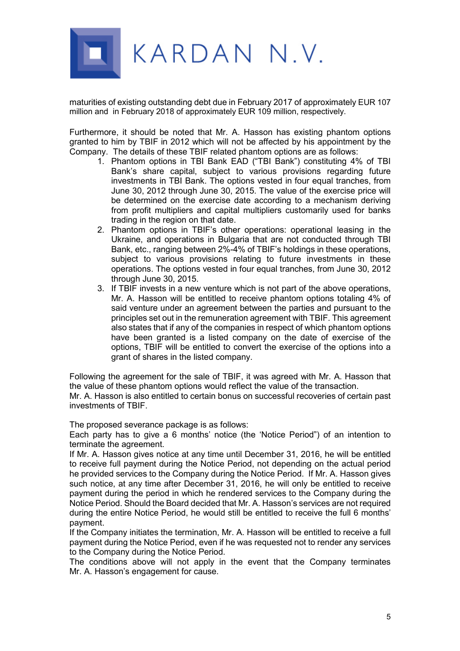

maturities of existing outstanding debt due in February 2017 of approximately EUR 107 million and in February 2018 of approximately EUR 109 million, respectively.

Furthermore, it should be noted that Mr. A. Hasson has existing phantom options granted to him by TBIF in 2012 which will not be affected by his appointment by the Company. The details of these TBIF related phantom options are as follows:

- 1. Phantom options in TBI Bank EAD ("TBI Bank") constituting 4% of TBI Bank's share capital, subject to various provisions regarding future investments in TBI Bank. The options vested in four equal tranches, from June 30, 2012 through June 30, 2015. The value of the exercise price will be determined on the exercise date according to a mechanism deriving from profit multipliers and capital multipliers customarily used for banks trading in the region on that date.
- 2. Phantom options in TBIF's other operations: operational leasing in the Ukraine, and operations in Bulgaria that are not conducted through TBI Bank, etc., ranging between 2%-4% of TBIF's holdings in these operations, subject to various provisions relating to future investments in these operations. The options vested in four equal tranches, from June 30, 2012 through June 30, 2015.
- 3. If TBIF invests in a new venture which is not part of the above operations, Mr. A. Hasson will be entitled to receive phantom options totaling 4% of said venture under an agreement between the parties and pursuant to the principles set out in the remuneration agreement with TBIF. This agreement also states that if any of the companies in respect of which phantom options have been granted is a listed company on the date of exercise of the options, TBIF will be entitled to convert the exercise of the options into a grant of shares in the listed company.

Following the agreement for the sale of TBIF, it was agreed with Mr. A. Hasson that the value of these phantom options would reflect the value of the transaction. Mr. A. Hasson is also entitled to certain bonus on successful recoveries of certain past investments of TBIF.

The proposed severance package is as follows:

Each party has to give a 6 months' notice (the 'Notice Period") of an intention to terminate the agreement.

If Mr. A. Hasson gives notice at any time until December 31, 2016, he will be entitled to receive full payment during the Notice Period, not depending on the actual period he provided services to the Company during the Notice Period. If Mr. A. Hasson gives such notice, at any time after December 31, 2016, he will only be entitled to receive payment during the period in which he rendered services to the Company during the Notice Period. Should the Board decided that Mr. A. Hasson's services are not required during the entire Notice Period, he would still be entitled to receive the full 6 months' payment.

If the Company initiates the termination, Mr. A. Hasson will be entitled to receive a full payment during the Notice Period, even if he was requested not to render any services to the Company during the Notice Period.

The conditions above will not apply in the event that the Company terminates Mr. A. Hasson's engagement for cause.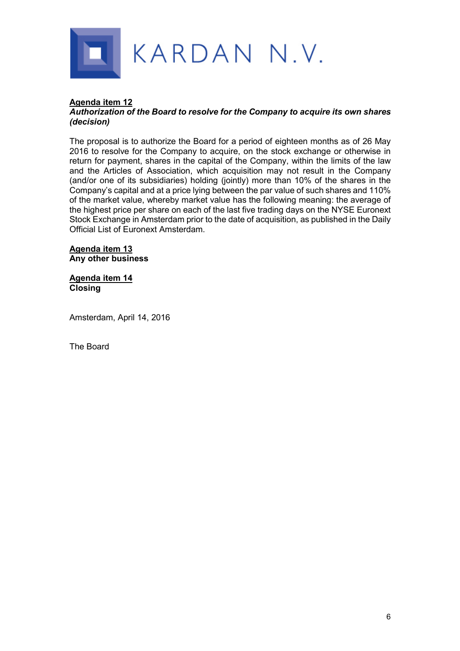

## **Agenda item 12**

#### *Authorization of the Board to resolve for the Company to acquire its own shares (decision)*

The proposal is to authorize the Board for a period of eighteen months as of 26 May 2016 to resolve for the Company to acquire, on the stock exchange or otherwise in return for payment, shares in the capital of the Company, within the limits of the law and the Articles of Association, which acquisition may not result in the Company (and/or one of its subsidiaries) holding (jointly) more than 10% of the shares in the Company's capital and at a price lying between the par value of such shares and 110% of the market value, whereby market value has the following meaning: the average of the highest price per share on each of the last five trading days on the NYSE Euronext Stock Exchange in Amsterdam prior to the date of acquisition, as published in the Daily Official List of Euronext Amsterdam.

#### **Agenda item 13 Any other business**

#### **Agenda item 14 Closing**

Amsterdam, April 14, 2016

The Board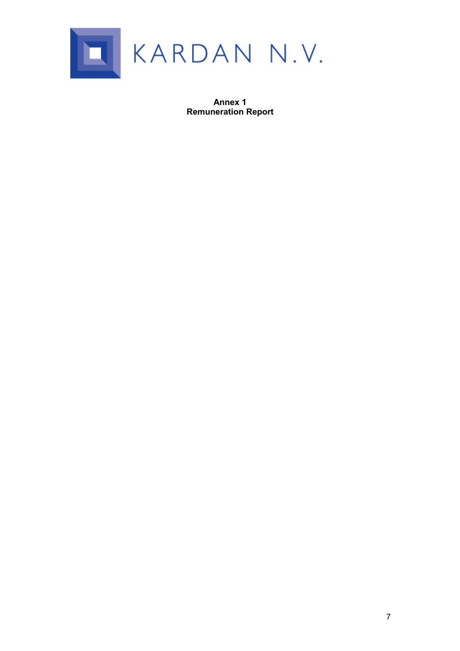

**Annex 1 Remuneration Report**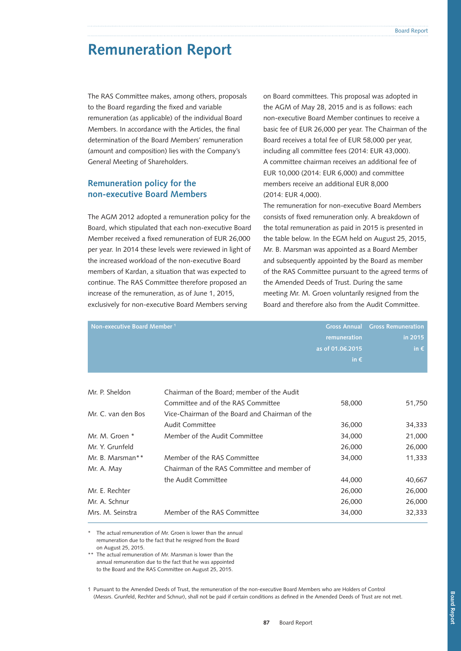# **Remuneration Report**

The RAS Committee makes, among others, proposals to the Board regarding the fixed and variable remuneration (as applicable) of the individual Board Members. In accordance with the Articles, the final determination of the Board Members' remuneration (amount and composition) lies with the Company's General Meeting of Shareholders.

### **Remuneration policy for the non-executive Board Members**

The AGM 2012 adopted a remuneration policy for the Board, which stipulated that each non-executive Board Member received a fixed remuneration of EUR 26,000 per year. In 2014 these levels were reviewed in light of the increased workload of the non-executive Board members of Kardan, a situation that was expected to continue. The RAS Committee therefore proposed an increase of the remuneration, as of June 1, 2015, exclusively for non-executive Board Members serving

on Board committees. This proposal was adopted in the AGM of May 28, 2015 and is as follows: each non-executive Board Member continues to receive a basic fee of EUR 26,000 per year. The Chairman of the Board receives a total fee of EUR 58,000 per year, including all committee fees (2014: EUR 43,000). A committee chairman receives an additional fee of EUR 10,000 (2014: EUR 6,000) and committee members receive an additional EUR 8,000 (2014: EUR 4,000).

The remuneration for non-executive Board Members consists of fixed remuneration only. A breakdown of the total remuneration as paid in 2015 is presented in the table below. In the EGM held on August 25, 2015, Mr. B. Marsman was appointed as a Board Member and subsequently appointed by the Board as member of the RAS Committee pursuant to the agreed terms of the Amended Deeds of Trust. During the same meeting Mr. M. Groen voluntarily resigned from the Board and therefore also from the Audit Committee.

| Non-executive Board Member <sup>1</sup> |                                                | <b>Gross Annual</b><br>remuneration<br>as of 01.06.2015<br>in $\epsilon$ | <b>Gross Remuneration</b><br>in 2015<br>in $\epsilon$ |
|-----------------------------------------|------------------------------------------------|--------------------------------------------------------------------------|-------------------------------------------------------|
| Mr. P. Sheldon                          | Chairman of the Board; member of the Audit     |                                                                          |                                                       |
|                                         | Committee and of the RAS Committee             | 58,000                                                                   | 51,750                                                |
| Mr. C. van den Bos                      | Vice-Chairman of the Board and Chairman of the |                                                                          |                                                       |
|                                         | <b>Audit Committee</b>                         | 36,000                                                                   | 34,333                                                |
| Mr. M. Groen *                          | Member of the Audit Committee                  | 34,000                                                                   | 21,000                                                |
| Mr. Y. Grunfeld                         |                                                | 26,000                                                                   | 26,000                                                |
| Mr. B. Marsman**                        | Member of the RAS Committee                    | 34,000                                                                   | 11,333                                                |
| Mr. A. May                              | Chairman of the RAS Committee and member of    |                                                                          |                                                       |
|                                         | the Audit Committee                            | 44,000                                                                   | 40,667                                                |
| Mr. E. Rechter                          |                                                | 26,000                                                                   | 26,000                                                |
| Mr. A. Schnur                           |                                                | 26,000                                                                   | 26,000                                                |
| Mrs. M. Seinstra                        | Member of the RAS Committee                    | 34,000                                                                   | 32,333                                                |

The actual remuneration of Mr. Groen is lower than the annual remuneration due to the fact that he resigned from the Board on August 25, 2015.

\*\* The actual remuneration of Mr. Marsman is lower than the annual remuneration due to the fact that he was appointed to the Board and the RAS Committee on August 25, 2015.

1 Pursuant to the Amended Deeds of Trust, the remuneration of the non-executive Board Members who are Holders of Control (Messrs. Grunfeld, Rechter and Schnur), shall not be paid if certain conditions as defined in the Amended Deeds of Trust are not met.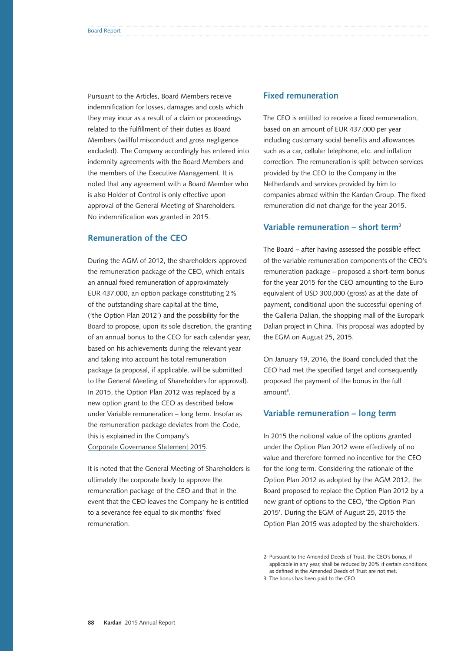Pursuant to the Articles, Board Members receive indemnification for losses, damages and costs which they may incur as a result of a claim or proceedings related to the fulfillment of their duties as Board Members (willful misconduct and gross negligence excluded). The Company accordingly has entered into indemnity agreements with the Board Members and the members of the Executive Management. It is noted that any agreement with a Board Member who is also Holder of Control is only effective upon approval of the General Meeting of Shareholders. No indemnification was granted in 2015.

#### **Remuneration of the CEO**

During the AGM of 2012, the shareholders approved the remuneration package of the CEO, which entails an annual fixed remuneration of approximately EUR 437,000, an option package constituting 2% of the outstanding share capital at the time, ('the Option Plan 2012') and the possibility for the Board to propose, upon its sole discretion, the granting of an annual bonus to the CEO for each calendar year, based on his achievements during the relevant year and taking into account his total remuneration package (a proposal, if applicable, will be submitted to the General Meeting of Shareholders for approval). In 2015, the Option Plan 2012 was replaced by a new option grant to the CEO as described below under Variable remuneration – long term. Insofar as the remuneration package deviates from the Code, this is explained in the Company's Corporate [Governance Statement 2015.](http://www.kardan.nl/images/annual-report/annual-reports/CorporateGovernance2015.pdf)

It is noted that the General Meeting of Shareholders is ultimately the corporate body to approve the remuneration package of the CEO and that in the event that the CEO leaves the Company he is entitled to a severance fee equal to six months' fixed remuneration.

#### **Fixed remuneration**

The CEO is entitled to receive a fixed remuneration, based on an amount of EUR 437,000 per year including customary social benefits and allowances such as a car, cellular telephone, etc. and inflation correction. The remuneration is split between services provided by the CEO to the Company in the Netherlands and services provided by him to companies abroad within the Kardan Group. The fixed remuneration did not change for the year 2015.

#### **Variable remuneration – short term2**

The Board – after having assessed the possible effect of the variable remuneration components of the CEO's remuneration package – proposed a short-term bonus for the year 2015 for the CEO amounting to the Euro equivalent of USD 300,000 (gross) as at the date of payment, conditional upon the successful opening of the Galleria Dalian, the shopping mall of the Europark Dalian project in China. This proposal was adopted by the EGM on August 25, 2015.

On January 19, 2016, the Board concluded that the CEO had met the specified target and consequently proposed the payment of the bonus in the full amount<sup>3</sup>.

#### **Variable remuneration – long term**

In 2015 the notional value of the options granted under the Option Plan 2012 were effectively of no value and therefore formed no incentive for the CEO for the long term. Considering the rationale of the Option Plan 2012 as adopted by the AGM 2012, the Board proposed to replace the Option Plan 2012 by a new grant of options to the CEO, 'the Option Plan 2015'. During the EGM of August 25, 2015 the Option Plan 2015 was adopted by the shareholders.

<sup>2</sup> Pursuant to the Amended Deeds of Trust, the CEO's bonus, if applicable in any year, shall be reduced by 20% if certain conditions as defined in the Amended Deeds of Trust are not met.

<sup>3</sup> The bonus has been paid to the CEO.